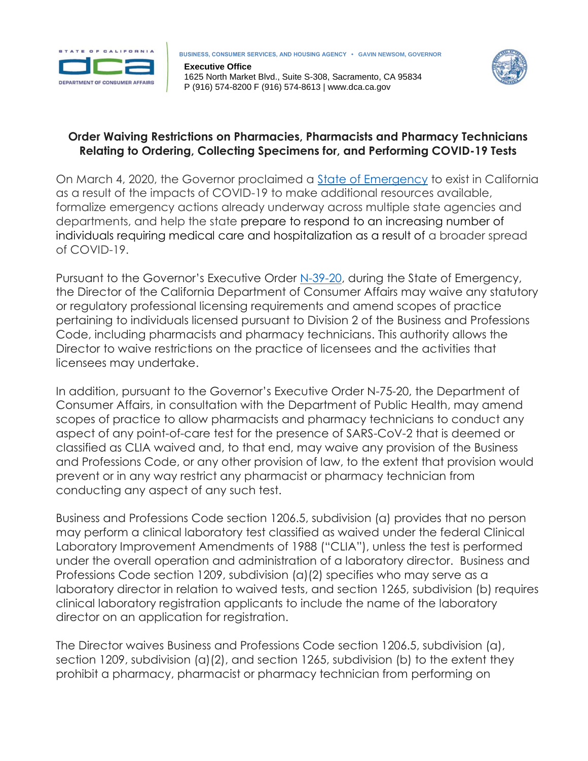

**Executive Office** 1625 North Market Blvd., Suite S-308, Sacramento, CA 95834 P (916) 574-8200 F (916) 574-8613 | www.dca.ca.gov



## **Order Waiving Restrictions on Pharmacies, Pharmacists and Pharmacy Technicians Relating to Ordering, Collecting Specimens for, and Performing COVID-19 Tests**

On March 4, 2020, the Governor proclaimed a [State of Emergency](https://www.gov.ca.gov/wp-content/uploads/2020/03/3.4.20-Coronavirus-SOE-Proclamation.pdf) to exist in California as a result of the impacts of COVID-19 to make additional resources available, formalize emergency actions already underway across multiple state agencies and departments, and help the state prepare to respond to an increasing number of individuals requiring medical care and hospitalization as a result of a broader spread of COVID-19.

Pursuant to the Governor's Executive Order [N-39-20,](https://www.gov.ca.gov/wp-content/uploads/2020/03/3.30.20-EO-N-39-20.pdf) during the State of Emergency, the Director of the California Department of Consumer Affairs may waive any statutory or regulatory professional licensing requirements and amend scopes of practice pertaining to individuals licensed pursuant to Division 2 of the Business and Professions Code, including pharmacists and pharmacy technicians. This authority allows the Director to waive restrictions on the practice of licensees and the activities that licensees may undertake.

In addition, pursuant to the Governor's Executive Order N-75-20, the Department of Consumer Affairs, in consultation with the Department of Public Health, may amend scopes of practice to allow pharmacists and pharmacy technicians to conduct any aspect of any point-of-care test for the presence of SARS-CoV-2 that is deemed or classified as CLIA waived and, to that end, may waive any provision of the Business and Professions Code, or any other provision of law, to the extent that provision would prevent or in any way restrict any pharmacist or pharmacy technician from conducting any aspect of any such test.

Business and Professions Code section 1206.5, subdivision (a) provides that no person may perform a clinical laboratory test classified as waived under the federal Clinical Laboratory Improvement Amendments of 1988 ("CLIA"), unless the test is performed under the overall operation and administration of a laboratory director. Business and Professions Code section 1209, subdivision (a)(2) specifies who may serve as a laboratory director in relation to waived tests, and section 1265, subdivision (b) requires clinical laboratory registration applicants to include the name of the laboratory director on an application for registration.

The Director waives Business and Professions Code section 1206.5, subdivision (a), section 1209, subdivision (a)(2), and section 1265, subdivision (b) to the extent they prohibit a pharmacy, pharmacist or pharmacy technician from performing on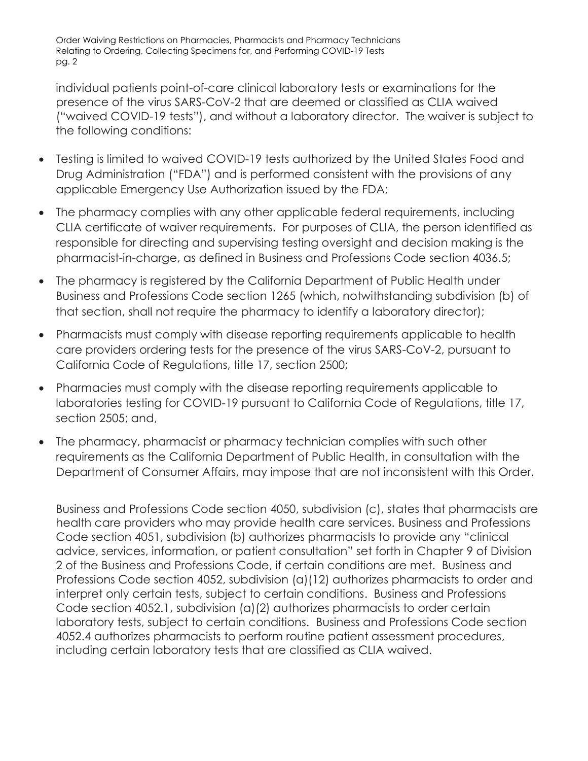Order Waiving Restrictions on Pharmacies, Pharmacists and Pharmacy Technicians Relating to Ordering, Collecting Specimens for, and Performing COVID-19 Tests pg. 2

individual patients point-of-care clinical laboratory tests or examinations for the presence of the virus SARS-CoV-2 that are deemed or classified as CLIA waived ("waived COVID-19 tests"), and without a laboratory director. The waiver is subject to the following conditions:

- Testing is limited to waived COVID-19 tests authorized by the United States Food and Drug Administration ("FDA") and is performed consistent with the provisions of any applicable Emergency Use Authorization issued by the FDA;
- The pharmacy complies with any other applicable federal requirements, including CLIA certificate of waiver requirements. For purposes of CLIA, the person identified as responsible for directing and supervising testing oversight and decision making is the pharmacist-in-charge, as defined in Business and Professions Code section 4036.5;
- The pharmacy is registered by the California Department of Public Health under Business and Professions Code section 1265 (which, notwithstanding subdivision (b) of that section, shall not require the pharmacy to identify a laboratory director);
- Pharmacists must comply with disease reporting requirements applicable to health care providers ordering tests for the presence of the virus SARS-CoV-2, pursuant to California Code of Regulations, title 17, section 2500;
- Pharmacies must comply with the disease reporting requirements applicable to laboratories testing for COVID-19 pursuant to California Code of Regulations, title 17, section 2505; and,
- The pharmacy, pharmacist or pharmacy technician complies with such other requirements as the California Department of Public Health, in consultation with the Department of Consumer Affairs, may impose that are not inconsistent with this Order.

Business and Professions Code section 4050, subdivision (c), states that pharmacists are health care providers who may provide health care services. Business and Professions Code section 4051, subdivision (b) authorizes pharmacists to provide any "clinical advice, services, information, or patient consultation" set forth in Chapter 9 of Division 2 of the Business and Professions Code, if certain conditions are met. Business and Professions Code section 4052, subdivision (a)(12) authorizes pharmacists to order and interpret only certain tests, subject to certain conditions. Business and Professions Code section 4052.1, subdivision (a)(2) authorizes pharmacists to order certain laboratory tests, subject to certain conditions. Business and Professions Code section 4052.4 authorizes pharmacists to perform routine patient assessment procedures, including certain laboratory tests that are classified as CLIA waived.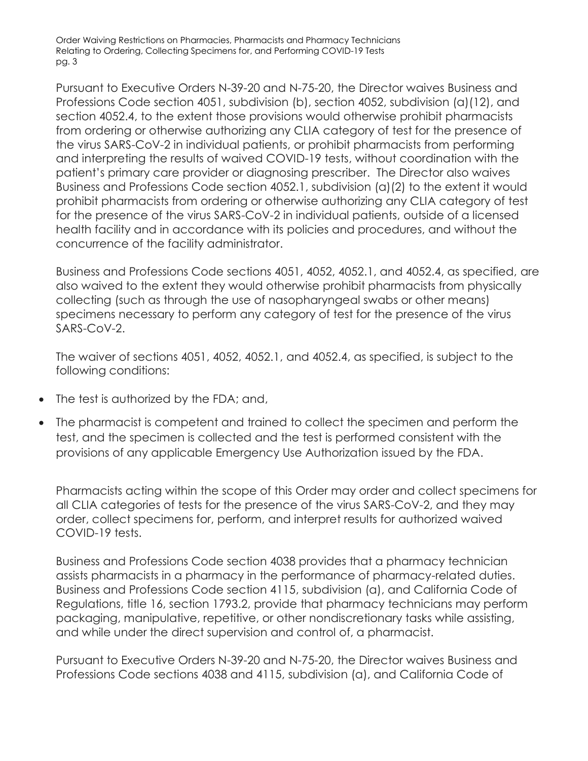Order Waiving Restrictions on Pharmacies, Pharmacists and Pharmacy Technicians Relating to Ordering, Collecting Specimens for, and Performing COVID-19 Tests pg. 3

Pursuant to Executive Orders N-39-20 and N-75-20, the Director waives Business and Professions Code section 4051, subdivision (b), section 4052, subdivision (a)(12), and section 4052.4, to the extent those provisions would otherwise prohibit pharmacists from ordering or otherwise authorizing any CLIA category of test for the presence of the virus SARS-CoV-2 in individual patients, or prohibit pharmacists from performing and interpreting the results of waived COVID-19 tests, without coordination with the patient's primary care provider or diagnosing prescriber. The Director also waives Business and Professions Code section 4052.1, subdivision (a)(2) to the extent it would prohibit pharmacists from ordering or otherwise authorizing any CLIA category of test for the presence of the virus SARS-CoV-2 in individual patients, outside of a licensed health facility and in accordance with its policies and procedures, and without the concurrence of the facility administrator.

Business and Professions Code sections 4051, 4052, 4052.1, and 4052.4, as specified, are also waived to the extent they would otherwise prohibit pharmacists from physically collecting (such as through the use of nasopharyngeal swabs or other means) specimens necessary to perform any category of test for the presence of the virus SARS-CoV-2.

The waiver of sections 4051, 4052, 4052.1, and 4052.4, as specified, is subject to the following conditions:

- The test is authorized by the FDA; and,
- The pharmacist is competent and trained to collect the specimen and perform the test, and the specimen is collected and the test is performed consistent with the provisions of any applicable Emergency Use Authorization issued by the FDA.

Pharmacists acting within the scope of this Order may order and collect specimens for all CLIA categories of tests for the presence of the virus SARS-CoV-2, and they may order, collect specimens for, perform, and interpret results for authorized waived COVID-19 tests.

Business and Professions Code section 4038 provides that a pharmacy technician assists pharmacists in a pharmacy in the performance of pharmacy-related duties. Business and Professions Code section 4115, subdivision (a), and California Code of Regulations, title 16, section 1793.2, provide that pharmacy technicians may perform packaging, manipulative, repetitive, or other nondiscretionary tasks while assisting, and while under the direct supervision and control of, a pharmacist.

Pursuant to Executive Orders N-39-20 and N-75-20, the Director waives Business and Professions Code sections 4038 and 4115, subdivision (a), and California Code of